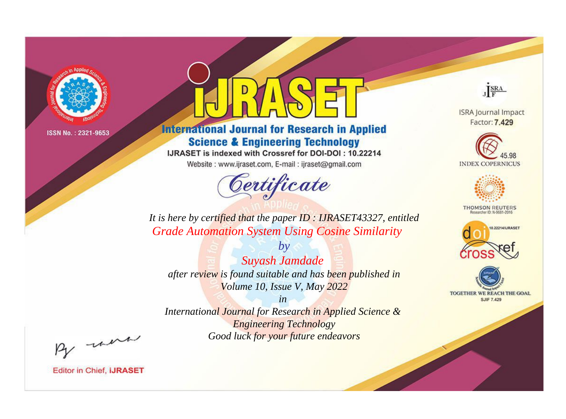

# **International Journal for Research in Applied Science & Engineering Technology**

IJRASET is indexed with Crossref for DOI-DOI: 10.22214

Website: www.ijraset.com, E-mail: ijraset@gmail.com



JERA

**ISRA Journal Impact** Factor: 7.429





**THOMSON REUTERS** 



TOGETHER WE REACH THE GOAL **SJIF 7.429** 

*It is here by certified that the paper ID : IJRASET43327, entitled Grade Automation System Using Cosine Similarity*

*by Suyash Jamdade after review is found suitable and has been published in Volume 10, Issue V, May 2022*

*in* 

*International Journal for Research in Applied Science & Engineering Technology Good luck for your future endeavors*

By morn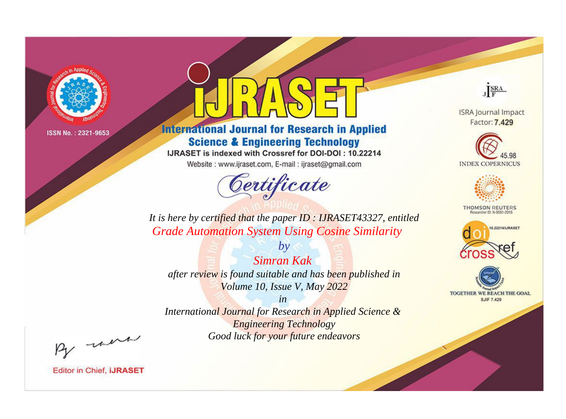

# **International Journal for Research in Applied Science & Engineering Technology**

IJRASET is indexed with Crossref for DOI-DOI: 10.22214

Website: www.ijraset.com, E-mail: ijraset@gmail.com



JERA

**ISRA Journal Impact** Factor: 7.429





**THOMSON REUTERS** 



TOGETHER WE REACH THE GOAL **SJIF 7.429** 

*It is here by certified that the paper ID : IJRASET43327, entitled Grade Automation System Using Cosine Similarity*

*Simran Kak after review is found suitable and has been published in Volume 10, Issue V, May 2022*

*by*

*in* 

*International Journal for Research in Applied Science & Engineering Technology Good luck for your future endeavors*

By morn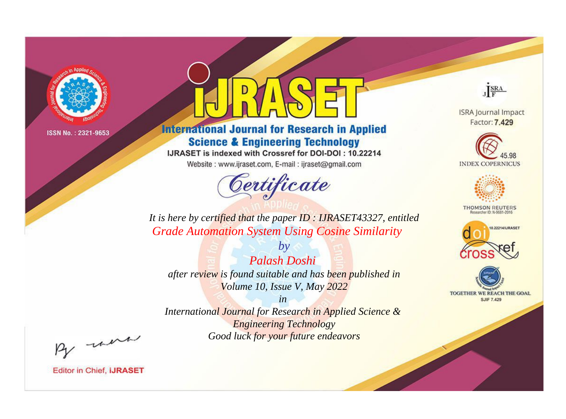

# **International Journal for Research in Applied Science & Engineering Technology**

IJRASET is indexed with Crossref for DOI-DOI: 10.22214

Website: www.ijraset.com, E-mail: ijraset@gmail.com



JERA

**ISRA Journal Impact** Factor: 7.429





**THOMSON REUTERS** 



TOGETHER WE REACH THE GOAL **SJIF 7.429** 

*It is here by certified that the paper ID : IJRASET43327, entitled Grade Automation System Using Cosine Similarity*

*by Palash Doshi after review is found suitable and has been published in Volume 10, Issue V, May 2022*

*in* 

*International Journal for Research in Applied Science & Engineering Technology Good luck for your future endeavors*

By morn